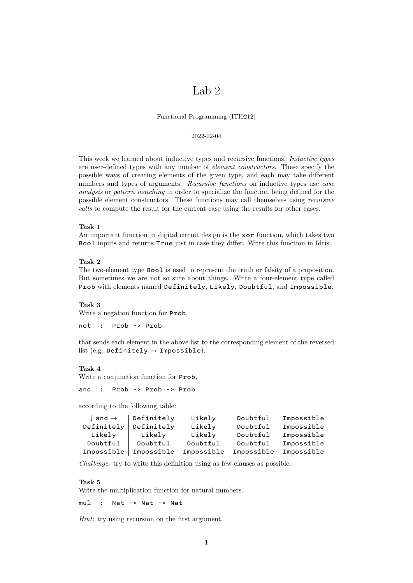# Lab<sub>2</sub>

Functional Programming (ITI0212)

### 2022-02-04

This week we learned about inductive types and recursive functions. *Inductive types* are user-defined types with any number of *element constructors*. These specify the possible ways of creating elements of the given type, and each may take different numbers and types of arguments. *Recursive functions* on inductive types use *case analysis* or *pattern matching* in order to specialize the function being defined for the possible element constructors. These functions may call themselves using *recursive calls* to compute the result for the current case using the results for other cases.

## **Task 1**

An important function in digital circuit design is the xor function, which takes two Bool inputs and returns True just in case they differ. Write this function in Idris.

## **Task 2**

The two-element type Bool is used to represent the truth or falsity of a proposition. But sometimes we are not so sure about things. Write a four-element type called Prob with elements named Definitely, Likely, Doubtful, and Impossible.

#### **Task 3**

Write a negation function for Prob,

not : Prob -> Prob

that sends each element in the above list to the corresponding element of the reversed list (e.g. Definitely  $\mapsto$  Impossible).

#### **Task 4**

Write a conjunction function for Prob,

and : Prob -> Prob -> Prob

according to the following table:

| $\downarrow$ and $\rightarrow$ | Definitely | Likely     | Doubtful   | Impossible |
|--------------------------------|------------|------------|------------|------------|
| Definitely                     | Definitely | Likely     | Doubtful   | Impossible |
| Likely                         | Likely     | Likely     | Doubtful   | Impossible |
| Doubtful                       | Doubtful   | Doubtful   | Doubtful   | Impossible |
| Impossible                     | Impossible | Impossible | Impossible | Impossible |

*Challenge*: try to write this definition using as few clauses as possible.

### **Task 5**

Write the multiplication function for natural numbers.

mul : Nat -> Nat -> Nat

*Hint*: try using recursion on the first argument.